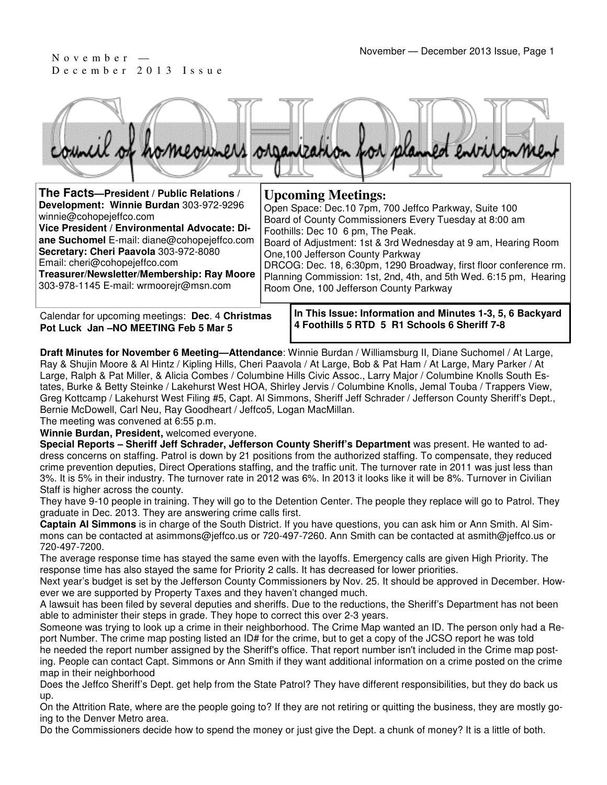December 2013 Issue



| The Facts-President / Public Relations /                                                                                                                                                                                                                                                                                            | <b>Upcoming Meetings:</b>                                                                                                                                                                                                                                                                                                                                                                                                                       |
|-------------------------------------------------------------------------------------------------------------------------------------------------------------------------------------------------------------------------------------------------------------------------------------------------------------------------------------|-------------------------------------------------------------------------------------------------------------------------------------------------------------------------------------------------------------------------------------------------------------------------------------------------------------------------------------------------------------------------------------------------------------------------------------------------|
| Development: Winnie Burdan 303-972-9296<br>winnie@cohopejeffco.com<br>Vice President / Environmental Advocate: Di-<br>ane Suchomel E-mail: diane@cohopejeffco.com<br>Secretary: Cheri Paavola 303-972-8080<br>Email: cheri@cohopejeffco.com<br>Treasurer/Newsletter/Membership: Ray Moore<br>303-978-1145 E-mail: wrmoorejr@msn.com | Open Space: Dec.10 7pm, 700 Jeffco Parkway, Suite 100<br>Board of County Commissioners Every Tuesday at 8:00 am<br>Foothills: Dec 10 6 pm, The Peak.<br>Board of Adjustment: 1st & 3rd Wednesday at 9 am, Hearing Room<br>One, 100 Jefferson County Parkway<br>DRCOG: Dec. 18, 6:30pm, 1290 Broadway, first floor conference rm.<br>Planning Commission: 1st, 2nd, 4th, and 5th Wed. 6:15 pm, Hearing<br>Room One, 100 Jefferson County Parkway |
|                                                                                                                                                                                                                                                                                                                                     |                                                                                                                                                                                                                                                                                                                                                                                                                                                 |

Calendar for upcoming meetings: **Dec**. 4 **Christmas Pot Luck Jan –NO MEETING Feb 5 Mar 5**

**In This Issue: Information and Minutes 1-3, 5, 6 Backyard 4 Foothills 5 RTD 5 R1 Schools 6 Sheriff 7-8** 

**Draft Minutes for November 6 Meeting—Attendance**: Winnie Burdan / Williamsburg II, Diane Suchomel / At Large, Ray & Shujin Moore & Al Hintz / Kipling Hills, Cheri Paavola / At Large, Bob & Pat Ham / At Large, Mary Parker / At Large, Ralph & Pat Miller, & Alicia Combes / Columbine Hills Civic Assoc., Larry Major / Columbine Knolls South Estates, Burke & Betty Steinke / Lakehurst West HOA, Shirley Jervis / Columbine Knolls, Jemal Touba / Trappers View, Greg Kottcamp / Lakehurst West Filing #5, Capt. Al Simmons, Sheriff Jeff Schrader / Jefferson County Sheriff's Dept., Bernie McDowell, Carl Neu, Ray Goodheart / Jeffco5, Logan MacMillan.

The meeting was convened at 6:55 p.m.

**Winnie Burdan, President,** welcomed everyone.

**Special Reports – Sheriff Jeff Schrader, Jefferson County Sheriff's Department** was present. He wanted to address concerns on staffing. Patrol is down by 21 positions from the authorized staffing. To compensate, they reduced crime prevention deputies, Direct Operations staffing, and the traffic unit. The turnover rate in 2011 was just less than 3%. It is 5% in their industry. The turnover rate in 2012 was 6%. In 2013 it looks like it will be 8%. Turnover in Civilian Staff is higher across the county.

They have 9-10 people in training. They will go to the Detention Center. The people they replace will go to Patrol. They graduate in Dec. 2013. They are answering crime calls first.

**Captain Al Simmons** is in charge of the South District. If you have questions, you can ask him or Ann Smith. Al Simmons can be contacted at asimmons@jeffco.us or 720-497-7260. Ann Smith can be contacted at asmith@jeffco.us or 720-497-7200.

The average response time has stayed the same even with the layoffs. Emergency calls are given High Priority. The response time has also stayed the same for Priority 2 calls. It has decreased for lower priorities.

Next year's budget is set by the Jefferson County Commissioners by Nov. 25. It should be approved in December. However we are supported by Property Taxes and they haven't changed much.

A lawsuit has been filed by several deputies and sheriffs. Due to the reductions, the Sheriff's Department has not been able to administer their steps in grade. They hope to correct this over 2-3 years.

Someone was trying to look up a crime in their neighborhood. The Crime Map wanted an ID. The person only had a Report Number. The crime map posting listed an ID# for the crime, but to get a copy of the JCSO report he was told he needed the report number assigned by the Sheriff's office. That report number isn't included in the Crime map posting. People can contact Capt. Simmons or Ann Smith if they want additional information on a crime posted on the crime map in their neighborhood

Does the Jeffco Sheriff's Dept. get help from the State Patrol? They have different responsibilities, but they do back us up.

On the Attrition Rate, where are the people going to? If they are not retiring or quitting the business, they are mostly going to the Denver Metro area.

Do the Commissioners decide how to spend the money or just give the Dept. a chunk of money? It is a little of both.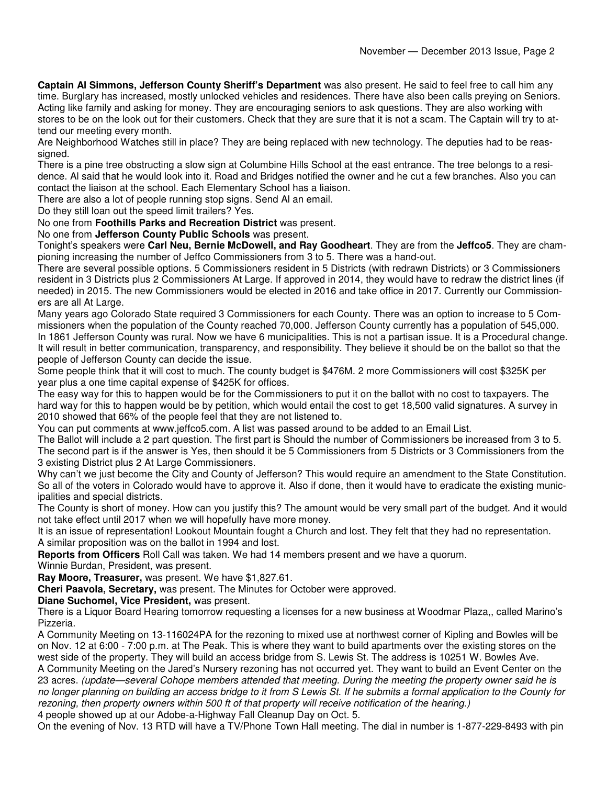**Captain Al Simmons, Jefferson County Sheriff's Department** was also present. He said to feel free to call him any time. Burglary has increased, mostly unlocked vehicles and residences. There have also been calls preying on Seniors. Acting like family and asking for money. They are encouraging seniors to ask questions. They are also working with stores to be on the look out for their customers. Check that they are sure that it is not a scam. The Captain will try to attend our meeting every month.

Are Neighborhood Watches still in place? They are being replaced with new technology. The deputies had to be reassigned.

There is a pine tree obstructing a slow sign at Columbine Hills School at the east entrance. The tree belongs to a residence. Al said that he would look into it. Road and Bridges notified the owner and he cut a few branches. Also you can contact the liaison at the school. Each Elementary School has a liaison.

There are also a lot of people running stop signs. Send Al an email.

Do they still loan out the speed limit trailers? Yes.

No one from **Foothills Parks and Recreation District** was present.

No one from **Jefferson County Public Schools** was present.

Tonight's speakers were **Carl Neu, Bernie McDowell, and Ray Goodheart**. They are from the **Jeffco5**. They are championing increasing the number of Jeffco Commissioners from 3 to 5. There was a hand-out.

There are several possible options. 5 Commissioners resident in 5 Districts (with redrawn Districts) or 3 Commissioners resident in 3 Districts plus 2 Commissioners At Large. If approved in 2014, they would have to redraw the district lines (if needed) in 2015. The new Commissioners would be elected in 2016 and take office in 2017. Currently our Commissioners are all At Large.

Many years ago Colorado State required 3 Commissioners for each County. There was an option to increase to 5 Commissioners when the population of the County reached 70,000. Jefferson County currently has a population of 545,000. In 1861 Jefferson County was rural. Now we have 6 municipalities. This is not a partisan issue. It is a Procedural change. It will result in better communication, transparency, and responsibility. They believe it should be on the ballot so that the people of Jefferson County can decide the issue.

Some people think that it will cost to much. The county budget is \$476M. 2 more Commissioners will cost \$325K per year plus a one time capital expense of \$425K for offices.

The easy way for this to happen would be for the Commissioners to put it on the ballot with no cost to taxpayers. The hard way for this to happen would be by petition, which would entail the cost to get 18,500 valid signatures. A survey in 2010 showed that 66% of the people feel that they are not listened to.

You can put comments at www.jeffco5.com. A list was passed around to be added to an Email List.

The Ballot will include a 2 part question. The first part is Should the number of Commissioners be increased from 3 to 5. The second part is if the answer is Yes, then should it be 5 Commissioners from 5 Districts or 3 Commissioners from the 3 existing District plus 2 At Large Commissioners.

Why can't we just become the City and County of Jefferson? This would require an amendment to the State Constitution. So all of the voters in Colorado would have to approve it. Also if done, then it would have to eradicate the existing municipalities and special districts.

The County is short of money. How can you justify this? The amount would be very small part of the budget. And it would not take effect until 2017 when we will hopefully have more money.

It is an issue of representation! Lookout Mountain fought a Church and lost. They felt that they had no representation. A similar proposition was on the ballot in 1994 and lost.

**Reports from Officers** Roll Call was taken. We had 14 members present and we have a quorum.

Winnie Burdan, President, was present.

**Ray Moore, Treasurer,** was present. We have \$1,827.61.

**Cheri Paavola, Secretary,** was present. The Minutes for October were approved.

**Diane Suchomel, Vice President,** was present.

There is a Liquor Board Hearing tomorrow requesting a licenses for a new business at Woodmar Plaza,, called Marino's Pizzeria.

A Community Meeting on 13-116024PA for the rezoning to mixed use at northwest corner of Kipling and Bowles will be on Nov. 12 at 6:00 - 7:00 p.m. at The Peak. This is where they want to build apartments over the existing stores on the west side of the property. They will build an access bridge from S. Lewis St. The address is 10251 W. Bowles Ave. A Community Meeting on the Jared's Nursery rezoning has not occurred yet. They want to build an Event Center on the 23 acres. (update—several Cohope members attended that meeting. During the meeting the property owner said he is

no longer planning on building an access bridge to it from S Lewis St. If he submits a formal application to the County for rezoning, then property owners within 500 ft of that property will receive notification of the hearing.)

4 people showed up at our Adobe-a-Highway Fall Cleanup Day on Oct. 5.

On the evening of Nov. 13 RTD will have a TV/Phone Town Hall meeting. The dial in number is 1-877-229-8493 with pin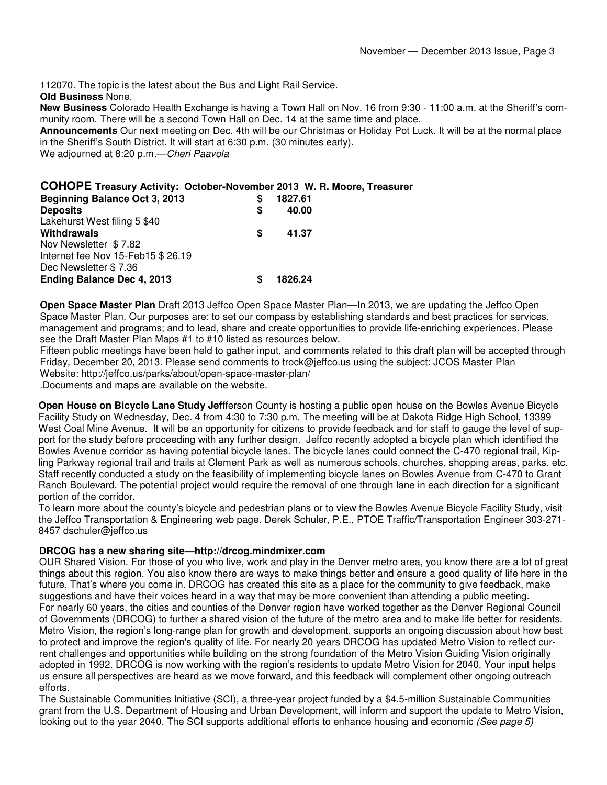112070. The topic is the latest about the Bus and Light Rail Service. **Old Business** None.

**New Business** Colorado Health Exchange is having a Town Hall on Nov. 16 from 9:30 - 11:00 a.m. at the Sheriff's community room. There will be a second Town Hall on Dec. 14 at the same time and place.

**Announcements** Our next meeting on Dec. 4th will be our Christmas or Holiday Pot Luck. It will be at the normal place in the Sheriff's South District. It will start at 6:30 p.m. (30 minutes early).

We adjourned at 8:20 p.m.—Cheri Paavola

### **COHOPE Treasury Activity: October-November 2013 W. R. Moore, Treasurer**

| <b>Beginning Balance Oct 3, 2013</b><br><b>Deposits</b> | S<br>S | 1827.61<br>40.00 |
|---------------------------------------------------------|--------|------------------|
| Lakehurst West filing 5 \$40                            |        |                  |
| Withdrawals                                             | S      | 41.37            |
| Nov Newsletter \$7.82                                   |        |                  |
| Internet fee Nov 15-Feb15 \$26.19                       |        |                  |
| Dec Newsletter \$7.36                                   |        |                  |
| <b>Ending Balance Dec 4, 2013</b>                       | S      | 1826.24          |
|                                                         |        |                  |

**Open Space Master Plan** Draft 2013 Jeffco Open Space Master Plan—In 2013, we are updating the Jeffco Open Space Master Plan. Our purposes are: to set our compass by establishing standards and best practices for services, management and programs; and to lead, share and create opportunities to provide life-enriching experiences. Please see the Draft Master Plan Maps #1 to #10 listed as resources below.

Fifteen public meetings have been held to gather input, and comments related to this draft plan will be accepted through Friday, December 20, 2013. Please send comments to trock@jeffco.us using the subject: JCOS Master Plan Website: http://jeffco.us/parks/about/open-space-master-plan/

.Documents and maps are available on the website.

**Open House on Bicycle Lane Study Jef**fferson County is hosting a public open house on the Bowles Avenue Bicycle Facility Study on Wednesday, Dec. 4 from 4:30 to 7:30 p.m. The meeting will be at Dakota Ridge High School, 13399 West Coal Mine Avenue. It will be an opportunity for citizens to provide feedback and for staff to gauge the level of support for the study before proceeding with any further design. Jeffco recently adopted a bicycle plan which identified the Bowles Avenue corridor as having potential bicycle lanes. The bicycle lanes could connect the C-470 regional trail, Kipling Parkway regional trail and trails at Clement Park as well as numerous schools, churches, shopping areas, parks, etc. Staff recently conducted a study on the feasibility of implementing bicycle lanes on Bowles Avenue from C-470 to Grant Ranch Boulevard. The potential project would require the removal of one through lane in each direction for a significant portion of the corridor.

To learn more about the county's bicycle and pedestrian plans or to view the Bowles Avenue Bicycle Facility Study, visit the Jeffco Transportation & Engineering web page. Derek Schuler, P.E., PTOE Traffic/Transportation Engineer 303-271- 8457 dschuler@jeffco.us

### **DRCOG has a new sharing site—http://drcog.mindmixer.com**

OUR Shared Vision. For those of you who live, work and play in the Denver metro area, you know there are a lot of great things about this region. You also know there are ways to make things better and ensure a good quality of life here in the future. That's where you come in. DRCOG has created this site as a place for the community to give feedback, make suggestions and have their voices heard in a way that may be more convenient than attending a public meeting. For nearly 60 years, the cities and counties of the Denver region have worked together as the Denver Regional Council of Governments (DRCOG) to further a shared vision of the future of the metro area and to make life better for residents. Metro Vision, the region's long-range plan for growth and development, supports an ongoing discussion about how best to protect and improve the region's quality of life. For nearly 20 years DRCOG has updated Metro Vision to reflect current challenges and opportunities while building on the strong foundation of the Metro Vision Guiding Vision originally adopted in 1992. DRCOG is now working with the region's residents to update Metro Vision for 2040. Your input helps us ensure all perspectives are heard as we move forward, and this feedback will complement other ongoing outreach efforts.

The Sustainable Communities Initiative (SCI), a three-year project funded by a \$4.5-million Sustainable Communities grant from the U.S. Department of Housing and Urban Development, will inform and support the update to Metro Vision, looking out to the year 2040. The SCI supports additional efforts to enhance housing and economic (See page 5)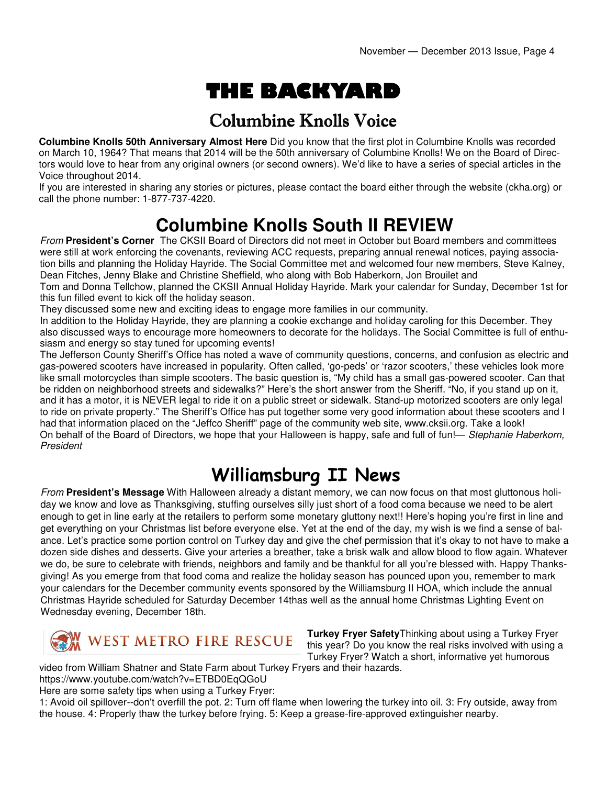# THE BACKYARD

### Columbine Knolls Voice

**Columbine Knolls 50th Anniversary Almost Here** Did you know that the first plot in Columbine Knolls was recorded on March 10, 1964? That means that 2014 will be the 50th anniversary of Columbine Knolls! We on the Board of Directors would love to hear from any original owners (or second owners). We'd like to have a series of special articles in the Voice throughout 2014.

If you are interested in sharing any stories or pictures, please contact the board either through the website (ckha.org) or call the phone number: 1-877-737-4220.

## **Columbine Knolls South II REVIEW**

From **President's Corner** The CKSII Board of Directors did not meet in October but Board members and committees were still at work enforcing the covenants, reviewing ACC requests, preparing annual renewal notices, paying association bills and planning the Holiday Hayride. The Social Committee met and welcomed four new members, Steve Kalney, Dean Fitches, Jenny Blake and Christine Sheffield, who along with Bob Haberkorn, Jon Brouilet and

Tom and Donna Tellchow, planned the CKSII Annual Holiday Hayride. Mark your calendar for Sunday, December 1st for this fun filled event to kick off the holiday season.

They discussed some new and exciting ideas to engage more families in our community.

In addition to the Holiday Hayride, they are planning a cookie exchange and holiday caroling for this December. They also discussed ways to encourage more homeowners to decorate for the holidays. The Social Committee is full of enthusiasm and energy so stay tuned for upcoming events!

The Jefferson County Sheriff's Office has noted a wave of community questions, concerns, and confusion as electric and gas-powered scooters have increased in popularity. Often called, 'go-peds' or 'razor scooters,' these vehicles look more like small motorcycles than simple scooters. The basic question is, "My child has a small gas-powered scooter. Can that be ridden on neighborhood streets and sidewalks?" Here's the short answer from the Sheriff. "No, if you stand up on it, and it has a motor, it is NEVER legal to ride it on a public street or sidewalk. Stand-up motorized scooters are only legal to ride on private property." The Sheriff's Office has put together some very good information about these scooters and I had that information placed on the "Jeffco Sheriff" page of the community web site, www.cksii.org. Take a look! On behalf of the Board of Directors, we hope that your Halloween is happy, safe and full of fun!— Stephanie Haberkorn, President

### Williamsburg II News

From **President's Message** With Halloween already a distant memory, we can now focus on that most gluttonous holiday we know and love as Thanksgiving, stuffing ourselves silly just short of a food coma because we need to be alert enough to get in line early at the retailers to perform some monetary gluttony next!! Here's hoping you're first in line and get everything on your Christmas list before everyone else. Yet at the end of the day, my wish is we find a sense of balance. Let's practice some portion control on Turkey day and give the chef permission that it's okay to not have to make a dozen side dishes and desserts. Give your arteries a breather, take a brisk walk and allow blood to flow again. Whatever we do, be sure to celebrate with friends, neighbors and family and be thankful for all you're blessed with. Happy Thanksgiving! As you emerge from that food coma and realize the holiday season has pounced upon you, remember to mark your calendars for the December community events sponsored by the Williamsburg II HOA, which include the annual Christmas Hayride scheduled for Saturday December 14thas well as the annual home Christmas Lighting Event on Wednesday evening, December 18th.



**Turkey Fryer Safety**Thinking about using a Turkey Fryer this year? Do you know the real risks involved with using a Turkey Fryer? Watch a short, informative yet humorous

video from William Shatner and State Farm about Turkey Fryers and their hazards.

https://www.youtube.com/watch?v=ETBD0EqQGoU

Here are some safety tips when using a Turkey Fryer:

1: Avoid oil spillover--don't overfill the pot. 2: Turn off flame when lowering the turkey into oil. 3: Fry outside, away from the house. 4: Properly thaw the turkey before frying. 5: Keep a grease-fire-approved extinguisher nearby.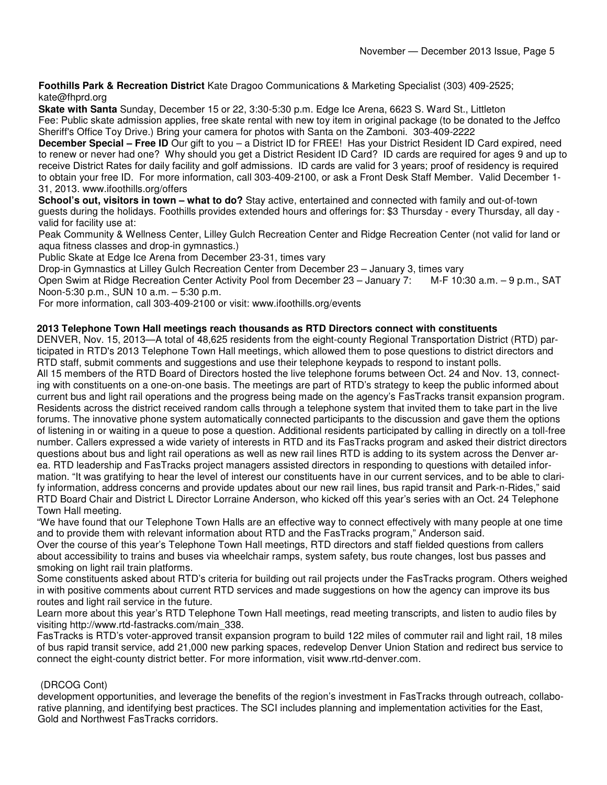**Foothills Park & Recreation District** Kate Dragoo Communications & Marketing Specialist (303) 409-2525; kate@fhprd.org

**Skate with Santa** Sunday, December 15 or 22, 3:30-5:30 p.m. Edge Ice Arena, 6623 S. Ward St., Littleton Fee: Public skate admission applies, free skate rental with new toy item in original package (to be donated to the Jeffco Sheriff's Office Toy Drive.) Bring your camera for photos with Santa on the Zamboni. 303-409-2222

**December Special – Free ID** Our gift to you – a District ID for FREE! Has your District Resident ID Card expired, need to renew or never had one? Why should you get a District Resident ID Card? ID cards are required for ages 9 and up to receive District Rates for daily facility and golf admissions. ID cards are valid for 3 years; proof of residency is required to obtain your free ID. For more information, call 303-409-2100, or ask a Front Desk Staff Member. Valid December 1- 31, 2013. www.ifoothills.org/offers

**School's out, visitors in town – what to do?** Stay active, entertained and connected with family and out-of-town guests during the holidays. Foothills provides extended hours and offerings for: \$3 Thursday - every Thursday, all day valid for facility use at:

Peak Community & Wellness Center, Lilley Gulch Recreation Center and Ridge Recreation Center (not valid for land or aqua fitness classes and drop-in gymnastics.)

Public Skate at Edge Ice Arena from December 23-31, times vary

Drop-in Gymnastics at Lilley Gulch Recreation Center from December 23 – January 3, times vary

Open Swim at Ridge Recreation Center Activity Pool from December 23 – January 7: M-F 10:30 a.m. – 9 p.m., SAT Noon-5:30 p.m., SUN 10 a.m. – 5:30 p.m.

For more information, call 303-409-2100 or visit: www.ifoothills.org/events

#### **2013 Telephone Town Hall meetings reach thousands as RTD Directors connect with constituents**

DENVER, Nov. 15, 2013—A total of 48,625 residents from the eight-county Regional Transportation District (RTD) participated in RTD's 2013 Telephone Town Hall meetings, which allowed them to pose questions to district directors and RTD staff, submit comments and suggestions and use their telephone keypads to respond to instant polls.

All 15 members of the RTD Board of Directors hosted the live telephone forums between Oct. 24 and Nov. 13, connecting with constituents on a one-on-one basis. The meetings are part of RTD's strategy to keep the public informed about current bus and light rail operations and the progress being made on the agency's FasTracks transit expansion program. Residents across the district received random calls through a telephone system that invited them to take part in the live forums. The innovative phone system automatically connected participants to the discussion and gave them the options of listening in or waiting in a queue to pose a question. Additional residents participated by calling in directly on a toll-free number. Callers expressed a wide variety of interests in RTD and its FasTracks program and asked their district directors questions about bus and light rail operations as well as new rail lines RTD is adding to its system across the Denver area. RTD leadership and FasTracks project managers assisted directors in responding to questions with detailed information. "It was gratifying to hear the level of interest our constituents have in our current services, and to be able to clarify information, address concerns and provide updates about our new rail lines, bus rapid transit and Park-n-Rides," said RTD Board Chair and District L Director Lorraine Anderson, who kicked off this year's series with an Oct. 24 Telephone Town Hall meeting.

"We have found that our Telephone Town Halls are an effective way to connect effectively with many people at one time and to provide them with relevant information about RTD and the FasTracks program," Anderson said.

Over the course of this year's Telephone Town Hall meetings, RTD directors and staff fielded questions from callers about accessibility to trains and buses via wheelchair ramps, system safety, bus route changes, lost bus passes and smoking on light rail train platforms.

Some constituents asked about RTD's criteria for building out rail projects under the FasTracks program. Others weighed in with positive comments about current RTD services and made suggestions on how the agency can improve its bus routes and light rail service in the future.

Learn more about this year's RTD Telephone Town Hall meetings, read meeting transcripts, and listen to audio files by visiting http://www.rtd-fastracks.com/main\_338.

FasTracks is RTD's voter-approved transit expansion program to build 122 miles of commuter rail and light rail, 18 miles of bus rapid transit service, add 21,000 new parking spaces, redevelop Denver Union Station and redirect bus service to connect the eight-county district better. For more information, visit www.rtd-denver.com.

### (DRCOG Cont)

development opportunities, and leverage the benefits of the region's investment in FasTracks through outreach, collaborative planning, and identifying best practices. The SCI includes planning and implementation activities for the East, Gold and Northwest FasTracks corridors.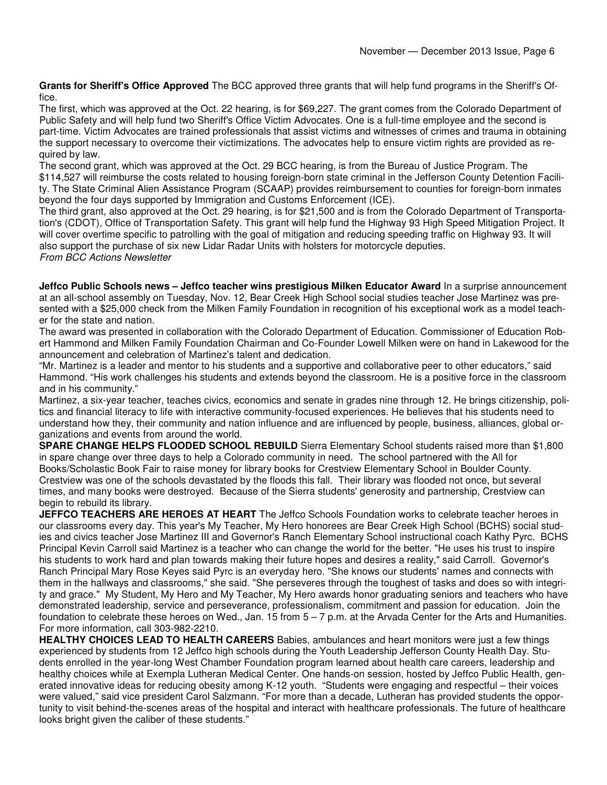**Grants for Sheriff's Office Approved** The BCC approved three grants that will help fund programs in the Sheriff's Office.

The first, which was approved at the Oct. 22 hearing, is for \$69,227. The grant comes from the Colorado Department of Public Safety and will help fund two Sheriff's Office Victim Advocates. One is a full-time employee and the second is part-time. Victim Advocates are trained professionals that assist victims and witnesses of crimes and trauma in obtaining the support necessary to overcome their victimizations. The advocates help to ensure victim rights are provided as required by law.

The second grant, which was approved at the Oct. 29 BCC hearing, is from the Bureau of Justice Program. The \$114,527 will reimburse the costs related to housing foreign-born state criminal in the Jefferson County Detention Facility. The State Criminal Alien Assistance Program (SCAAP) provides reimbursement to counties for foreign-born inmates beyond the four days supported by Immigration and Customs Enforcement (ICE).

The third grant, also approved at the Oct. 29 hearing, is for \$21,500 and is from the Colorado Department of Transportation's (CDOT), Office of Transportation Safety. This grant will help fund the Highway 93 High Speed Mitigation Project. It will cover overtime specific to patrolling with the goal of mitigation and reducing speeding traffic on Highway 93. It will also support the purchase of six new Lidar Radar Units with holsters for motorcycle deputies. From BCC Actions Newsletter

**Jeffco Public Schools news – Jeffco teacher wins prestigious Milken Educator Award** In a surprise announcement at an all-school assembly on Tuesday, Nov. 12, Bear Creek High School social studies teacher Jose Martinez was presented with a \$25,000 check from the Milken Family Foundation in recognition of his exceptional work as a model teacher for the state and nation.

The award was presented in collaboration with the Colorado Department of Education. Commissioner of Education Robert Hammond and Milken Family Foundation Chairman and Co-Founder Lowell Milken were on hand in Lakewood for the announcement and celebration of Martinez's talent and dedication.

"Mr. Martinez is a leader and mentor to his students and a supportive and collaborative peer to other educators," said Hammond. "His work challenges his students and extends beyond the classroom. He is a positive force in the classroom and in his community."

Martinez, a six-year teacher, teaches civics, economics and senate in grades nine through 12. He brings citizenship, politics and financial literacy to life with interactive community-focused experiences. He believes that his students need to understand how they, their community and nation influence and are influenced by people, business, alliances, global organizations and events from around the world.

**SPARE CHANGE HELPS FLOODED SCHOOL REBUILD** Sierra Elementary School students raised more than \$1,800 in spare change over three days to help a Colorado community in need. The school partnered with the All for Books/Scholastic Book Fair to raise money for library books for Crestview Elementary School in Boulder County. Crestview was one of the schools devastated by the floods this fall. Their library was flooded not once, but several times, and many books were destroyed. Because of the Sierra students' generosity and partnership, Crestview can begin to rebuild its library.

**JEFFCO TEACHERS ARE HEROES AT HEART** The Jeffco Schools Foundation works to celebrate teacher heroes in our classrooms every day. This year's My Teacher, My Hero honorees are Bear Creek High School (BCHS) social studies and civics teacher Jose Martinez III and Governor's Ranch Elementary School instructional coach Kathy Pyrc. BCHS Principal Kevin Carroll said Martinez is a teacher who can change the world for the better. "He uses his trust to inspire his students to work hard and plan towards making their future hopes and desires a reality," said Carroll. Governor's Ranch Principal Mary Rose Keyes said Pyrc is an everyday hero. "She knows our students' names and connects with them in the hallways and classrooms," she said. "She perseveres through the toughest of tasks and does so with integrity and grace." My Student, My Hero and My Teacher, My Hero awards honor graduating seniors and teachers who have demonstrated leadership, service and perseverance, professionalism, commitment and passion for education. Join the foundation to celebrate these heroes on Wed., Jan. 15 from 5 – 7 p.m. at the Arvada Center for the Arts and Humanities. For more information, call 303-982-2210.

**HEALTHY CHOICES LEAD TO HEALTH CAREERS** Babies, ambulances and heart monitors were just a few things experienced by students from 12 Jeffco high schools during the Youth Leadership Jefferson County Health Day. Students enrolled in the year-long West Chamber Foundation program learned about health care careers, leadership and healthy choices while at Exempla Lutheran Medical Center. One hands-on session, hosted by Jeffco Public Health, generated innovative ideas for reducing obesity among K-12 youth. "Students were engaging and respectful – their voices were valued," said vice president Carol Salzmann. "For more than a decade, Lutheran has provided students the opportunity to visit behind-the-scenes areas of the hospital and interact with healthcare professionals. The future of healthcare looks bright given the caliber of these students."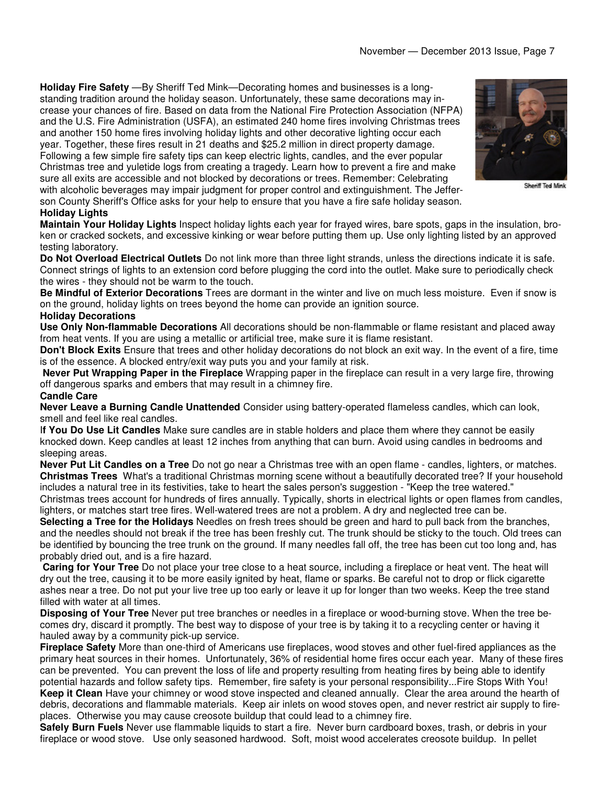**Holiday Fire Safety** —By Sheriff Ted Mink—Decorating homes and businesses is a longstanding tradition around the holiday season. Unfortunately, these same decorations may increase your chances of fire. Based on data from the National Fire Protection Association (NFPA) and the U.S. Fire Administration (USFA), an estimated 240 home fires involving Christmas trees and another 150 home fires involving holiday lights and other decorative lighting occur each year. Together, these fires result in 21 deaths and \$25.2 million in direct property damage. Following a few simple fire safety tips can keep electric lights, candles, and the ever popular Christmas tree and yuletide logs from creating a tragedy. Learn how to prevent a fire and make sure all exits are accessible and not blocked by decorations or trees. Remember: Celebrating with alcoholic beverages may impair judgment for proper control and extinguishment. The Jefferson County Sheriff's Office asks for your help to ensure that you have a fire safe holiday season. **Holiday Lights** 



Sheriff Ted Mink

**Maintain Your Holiday Lights** Inspect holiday lights each year for frayed wires, bare spots, gaps in the insulation, broken or cracked sockets, and excessive kinking or wear before putting them up. Use only lighting listed by an approved testing laboratory.

**Do Not Overload Electrical Outlets** Do not link more than three light strands, unless the directions indicate it is safe. Connect strings of lights to an extension cord before plugging the cord into the outlet. Make sure to periodically check the wires - they should not be warm to the touch.

**Be Mindful of Exterior Decorations** Trees are dormant in the winter and live on much less moisture. Even if snow is on the ground, holiday lights on trees beyond the home can provide an ignition source.

#### **Holiday Decorations**

**Use Only Non-flammable Decorations** All decorations should be non-flammable or flame resistant and placed away from heat vents. If you are using a metallic or artificial tree, make sure it is flame resistant.

**Don't Block Exits** Ensure that trees and other holiday decorations do not block an exit way. In the event of a fire, time is of the essence. A blocked entry/exit way puts you and your family at risk.

**Never Put Wrapping Paper in the Fireplace** Wrapping paper in the fireplace can result in a very large fire, throwing off dangerous sparks and embers that may result in a chimney fire.

#### **Candle Care**

**Never Leave a Burning Candle Unattended** Consider using battery-operated flameless candles, which can look, smell and feel like real candles.

I**f You Do Use Lit Candles** Make sure candles are in stable holders and place them where they cannot be easily knocked down. Keep candles at least 12 inches from anything that can burn. Avoid using candles in bedrooms and sleeping areas.

**Never Put Lit Candles on a Tree** Do not go near a Christmas tree with an open flame - candles, lighters, or matches. **Christmas Trees** What's a traditional Christmas morning scene without a beautifully decorated tree? If your household includes a natural tree in its festivities, take to heart the sales person's suggestion - "Keep the tree watered." Christmas trees account for hundreds of fires annually. Typically, shorts in electrical lights or open flames from candles,

lighters, or matches start tree fires. Well-watered trees are not a problem. A dry and neglected tree can be.

**Selecting a Tree for the Holidays** Needles on fresh trees should be green and hard to pull back from the branches, and the needles should not break if the tree has been freshly cut. The trunk should be sticky to the touch. Old trees can be identified by bouncing the tree trunk on the ground. If many needles fall off, the tree has been cut too long and, has probably dried out, and is a fire hazard.

**Caring for Your Tree** Do not place your tree close to a heat source, including a fireplace or heat vent. The heat will dry out the tree, causing it to be more easily ignited by heat, flame or sparks. Be careful not to drop or flick cigarette ashes near a tree. Do not put your live tree up too early or leave it up for longer than two weeks. Keep the tree stand filled with water at all times.

**Disposing of Your Tree** Never put tree branches or needles in a fireplace or wood-burning stove. When the tree becomes dry, discard it promptly. The best way to dispose of your tree is by taking it to a recycling center or having it hauled away by a community pick-up service.

**Fireplace Safety** More than one-third of Americans use fireplaces, wood stoves and other fuel-fired appliances as the primary heat sources in their homes. Unfortunately, 36% of residential home fires occur each year. Many of these fires can be prevented. You can prevent the loss of life and property resulting from heating fires by being able to identify potential hazards and follow safety tips. Remember, fire safety is your personal responsibility...Fire Stops With You! **Keep it Clean** Have your chimney or wood stove inspected and cleaned annually. Clear the area around the hearth of debris, decorations and flammable materials. Keep air inlets on wood stoves open, and never restrict air supply to fireplaces. Otherwise you may cause creosote buildup that could lead to a chimney fire.

**Safely Burn Fuels** Never use flammable liquids to start a fire. Never burn cardboard boxes, trash, or debris in your fireplace or wood stove. Use only seasoned hardwood. Soft, moist wood accelerates creosote buildup. In pellet